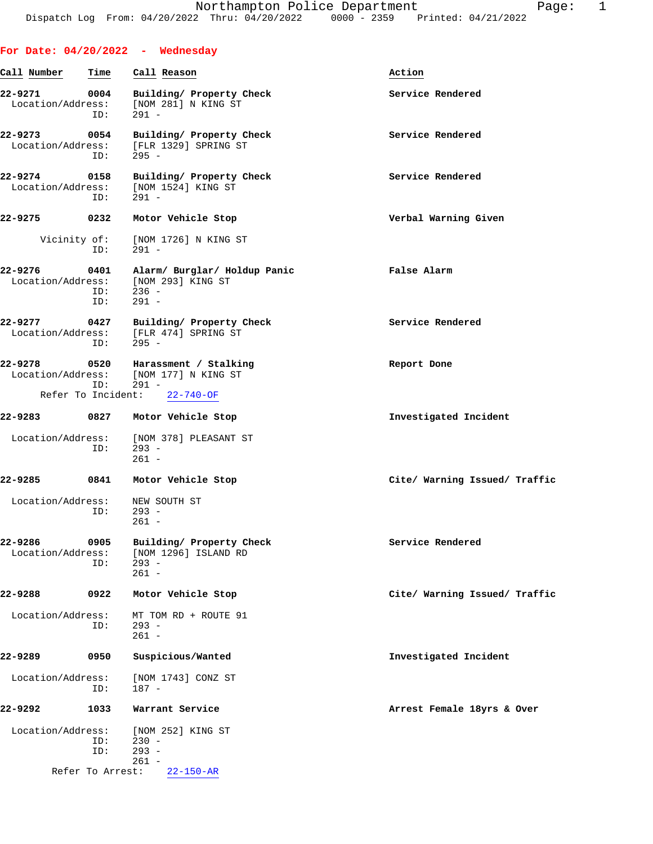|                              |                    | For Date: $04/20/2022 -$ Wednesday                                                        |                               |
|------------------------------|--------------------|-------------------------------------------------------------------------------------------|-------------------------------|
| Call Number                  | Time               | Call Reason                                                                               | Action                        |
| 22-9271<br>Location/Address: | 0004<br>ID:        | Building/ Property Check<br>[NOM 281] N KING ST<br>$291 -$                                | Service Rendered              |
| 22-9273<br>Location/Address: | 0054<br>ID:        | Building/ Property Check<br>[FLR 1329] SPRING ST<br>$295 -$                               | Service Rendered              |
| 22-9274<br>Location/Address: | 0158<br>ID:        | Building/ Property Check<br>[NOM 1524] KING ST<br>$291 -$                                 | Service Rendered              |
| 22-9275                      | 0232               | Motor Vehicle Stop                                                                        | Verbal Warning Given          |
| Vicinity of:                 | ID:                | [NOM 1726] N KING ST<br>$291 -$                                                           |                               |
| $22 - 9276$                  | 0401<br>ID:<br>ID: | Alarm/ Burglar/ Holdup Panic<br>Location/Address: [NOM 293] KING ST<br>$236 -$<br>$291 -$ | False Alarm                   |
| 22-9277<br>Location/Address: | 0427<br>ID:        | Building/ Property Check<br>[FLR 474] SPRING ST<br>$295 -$                                | Service Rendered              |
| 22-9278                      | 0520<br>ID:        | Harassment / Stalking<br>Location/Address: [NOM 177] N KING ST<br>$291 -$                 | Report Done                   |
| Refer To Incident:           |                    | $22 - 740 - OF$                                                                           |                               |
| 22-9283                      | 0827               | Motor Vehicle Stop                                                                        | Investigated Incident         |
| Location/Address:            | ID:                | [NOM 378] PLEASANT ST<br>$293 -$<br>$261 -$                                               |                               |
| 22-9285                      | 0841               | Motor Vehicle Stop                                                                        | Cite/ Warning Issued/ Traffic |
| Location/Address:            | ID:                | NEW SOUTH ST<br>$293 -$<br>$261 -$                                                        |                               |
| 22-9286<br>Location/Address: | 0905<br>ID:        | Building/ Property Check<br>[NOM 1296] ISLAND RD<br>$293 -$<br>$261 -$                    | Service Rendered              |
| 22-9288                      | 0922               | Motor Vehicle Stop                                                                        | Cite/ Warning Issued/ Traffic |
| Location/Address:            | ID:                | MT TOM RD + ROUTE 91<br>$293 -$<br>$261 -$                                                |                               |
| 22-9289                      | 0950               | Suspicious/Wanted                                                                         | Investigated Incident         |
| Location/Address:            | ID:                | [NOM 1743] CONZ ST<br>187 -                                                               |                               |
| 22-9292                      | 1033               | Warrant Service                                                                           | Arrest Female 18yrs & Over    |
| Location/Address:            | ID:<br>ID:         | [NOM 252] KING ST<br>$230 -$<br>$293 -$<br>$261 -$                                        |                               |
|                              | Refer To Arrest:   | $22 - 150 - AR$                                                                           |                               |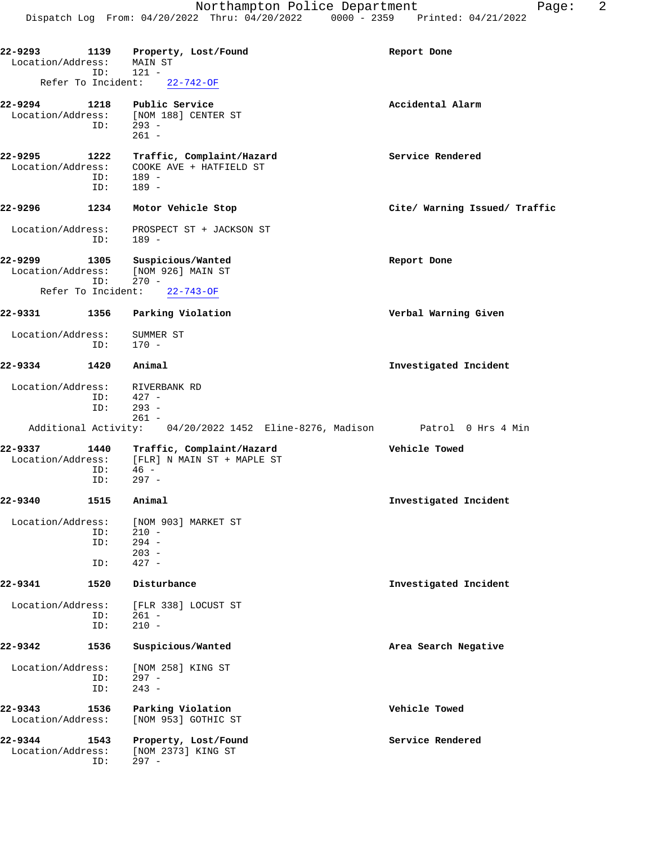| 22-9293<br>Location/Address: |                    | 1139 Property, Lost/Found<br>MAIN ST                                                   | Report Done                   |
|------------------------------|--------------------|----------------------------------------------------------------------------------------|-------------------------------|
| Refer To Incident:           | ID:                | $121 -$<br>22-742-OF                                                                   |                               |
| 22-9294                      | ID:                | 1218 Public Service<br>Location/Address: [NOM 188] CENTER ST<br>$293 -$<br>$261 -$     | Accidental Alarm              |
| 22-9295<br>Location/Address: | 1222<br>ID:<br>ID: | Traffic, Complaint/Hazard<br>COOKE AVE + HATFIELD ST<br>$189 -$<br>$189 -$             | Service Rendered              |
| 22-9296                      | 1234               | Motor Vehicle Stop                                                                     | Cite/ Warning Issued/ Traffic |
| Location/Address:            | ID:                | PROSPECT ST + JACKSON ST<br>$189 -$                                                    |                               |
| 22-9299                      | 1305<br>ID:        | Suspicious/Wanted<br>Location/Address: [NOM 926] MAIN ST<br>$270 -$                    | Report Done                   |
| Refer To Incident:           |                    | $22 - 743 - OF$                                                                        |                               |
| 22-9331                      | 1356               | Parking Violation                                                                      | Verbal Warning Given          |
| Location/Address:            | ID:                | SUMMER ST<br>170 -                                                                     |                               |
| 22-9334                      | 1420               | Animal                                                                                 | Investigated Incident         |
| Location/Address:            | ID:<br>ID:         | RIVERBANK RD<br>$427 -$<br>$293 -$                                                     |                               |
|                              |                    | $261 -$<br>Additional Activity: 04/20/2022 1452 Eline-8276, Madison Patrol 0 Hrs 4 Min |                               |
| 22-9337<br>Location/Address: | 1440<br>ID:<br>ID: | Traffic, Complaint/Hazard<br>[FLR] N MAIN ST + MAPLE ST<br>46 -<br>$297 -$             | Vehicle Towed                 |
| 22-9340                      | 1515               | Animal                                                                                 | Investigated Incident         |
| Location/Address:            | ID:<br>ID:<br>ID:  | [NOM 903] MARKET ST<br>$210 -$<br>$294 -$<br>$203 -$<br>$427 -$                        |                               |
| 22-9341                      | 1520               | Disturbance                                                                            | Investigated Incident         |
| Location/Address:            | ID:<br>ID:         | [FLR 338] LOCUST ST<br>$261 -$<br>$210 -$                                              |                               |
| 22-9342                      | 1536               | Suspicious/Wanted                                                                      | Area Search Negative          |
| Location/Address:            | ID:<br>ID:         | [NOM 258] KING ST<br>$297 -$<br>$243 -$                                                |                               |
| 22-9343<br>Location/Address: | 1536               | Parking Violation<br>[NOM 953] GOTHIC ST                                               | Vehicle Towed                 |
| 22-9344<br>Location/Address: | 1543<br>ID:        | Property, Lost/Found<br>[NOM 2373] KING ST<br>$297 -$                                  | Service Rendered              |